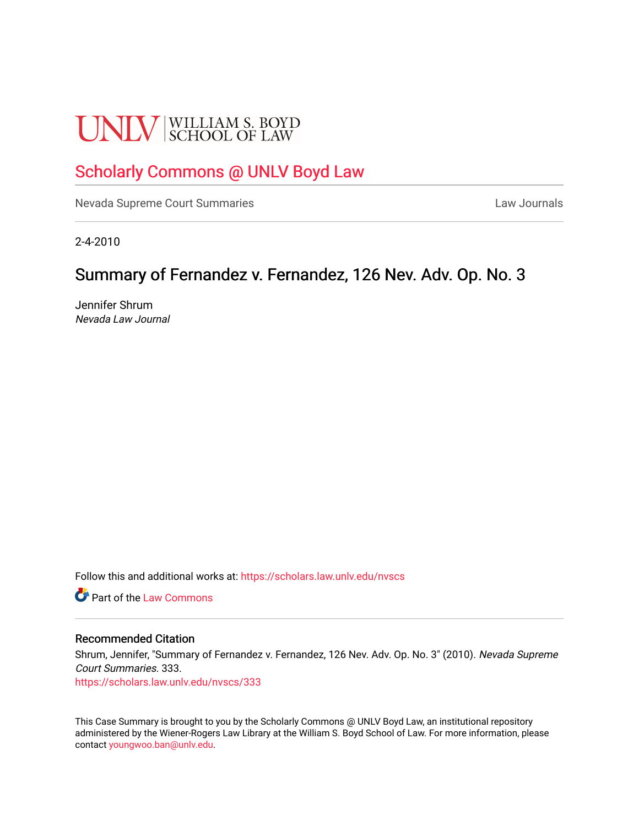# **UNLV** SCHOOL OF LAW

## [Scholarly Commons @ UNLV Boyd Law](https://scholars.law.unlv.edu/)

[Nevada Supreme Court Summaries](https://scholars.law.unlv.edu/nvscs) **Law Journals** Law Journals

2-4-2010

## Summary of Fernandez v. Fernandez, 126 Nev. Adv. Op. No. 3

Jennifer Shrum Nevada Law Journal

Follow this and additional works at: [https://scholars.law.unlv.edu/nvscs](https://scholars.law.unlv.edu/nvscs?utm_source=scholars.law.unlv.edu%2Fnvscs%2F333&utm_medium=PDF&utm_campaign=PDFCoverPages)

**C** Part of the [Law Commons](http://network.bepress.com/hgg/discipline/578?utm_source=scholars.law.unlv.edu%2Fnvscs%2F333&utm_medium=PDF&utm_campaign=PDFCoverPages)

#### Recommended Citation

Shrum, Jennifer, "Summary of Fernandez v. Fernandez, 126 Nev. Adv. Op. No. 3" (2010). Nevada Supreme Court Summaries. 333.

[https://scholars.law.unlv.edu/nvscs/333](https://scholars.law.unlv.edu/nvscs/333?utm_source=scholars.law.unlv.edu%2Fnvscs%2F333&utm_medium=PDF&utm_campaign=PDFCoverPages)

This Case Summary is brought to you by the Scholarly Commons @ UNLV Boyd Law, an institutional repository administered by the Wiener-Rogers Law Library at the William S. Boyd School of Law. For more information, please contact [youngwoo.ban@unlv.edu](mailto:youngwoo.ban@unlv.edu).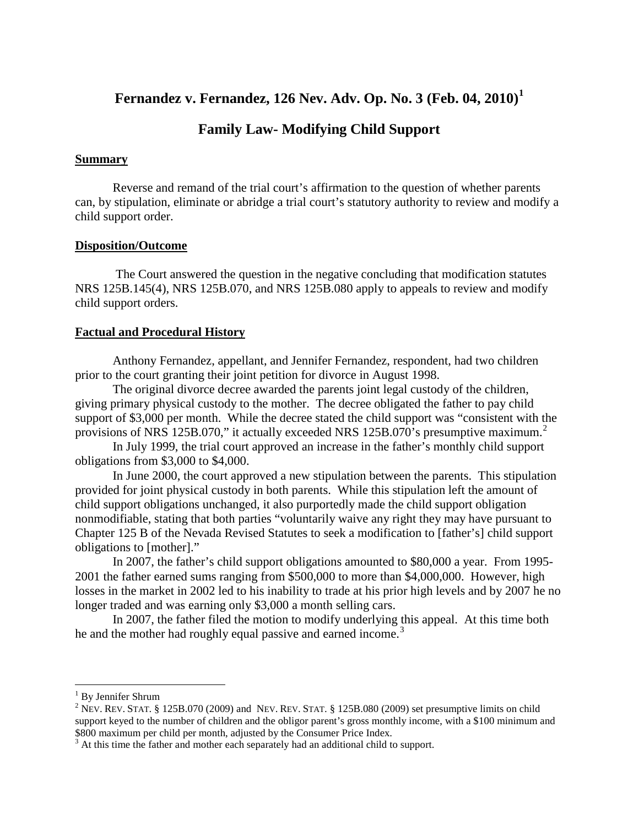### **Fernandez v. Fernandez, 126 Nev. Adv. Op. No. 3 (Feb. 04, 2010) [1](#page-1-0)**

#### **Family Law- Modifying Child Support**

#### **Summary**

Reverse and remand of the trial court's affirmation to the question of whether parents can, by stipulation, eliminate or abridge a trial court's statutory authority to review and modify a child support order.

#### **Disposition/Outcome**

The Court answered the question in the negative concluding that modification statutes NRS 125B.145(4), NRS 125B.070, and NRS 125B.080 apply to appeals to review and modify child support orders.

#### **Factual and Procedural History**

Anthony Fernandez, appellant, and Jennifer Fernandez, respondent, had two children prior to the court granting their joint petition for divorce in August 1998.

The original divorce decree awarded the parents joint legal custody of the children, giving primary physical custody to the mother. The decree obligated the father to pay child support of \$3,000 per month. While the decree stated the child support was "consistent with the provisions of NRS 1[2](#page-1-1)5B.070," it actually exceeded NRS 125B.070's presumptive maximum.<sup>2</sup>

In July 1999, the trial court approved an increase in the father's monthly child support obligations from \$3,000 to \$4,000.

In June 2000, the court approved a new stipulation between the parents. This stipulation provided for joint physical custody in both parents. While this stipulation left the amount of child support obligations unchanged, it also purportedly made the child support obligation nonmodifiable, stating that both parties "voluntarily waive any right they may have pursuant to Chapter 125 B of the Nevada Revised Statutes to seek a modification to [father's] child support obligations to [mother]."

In 2007, the father's child support obligations amounted to \$80,000 a year. From 1995- 2001 the father earned sums ranging from \$500,000 to more than \$4,000,000. However, high losses in the market in 2002 led to his inability to trade at his prior high levels and by 2007 he no longer traded and was earning only \$3,000 a month selling cars.

In 2007, the father filed the motion to modify underlying this appeal. At this time both he and the mother had roughly equal passive and earned income.<sup>[3](#page-1-2)</sup>

<span id="page-1-1"></span><span id="page-1-0"></span><sup>&</sup>lt;sup>1</sup> By Jennifer Shrum<br><sup>2</sup> NEV. REV. STAT. § 125B.070 (2009) and NEV. REV. STAT. § 125B.080 (2009) set presumptive limits on child support keyed to the number of children and the obligor parent's gross monthly income, with a \$100 minimum and \$800 maximum per child per month, adjusted by the Consumer Price Index.

<span id="page-1-2"></span> $3<sup>3</sup>$  At this time the father and mother each separately had an additional child to support.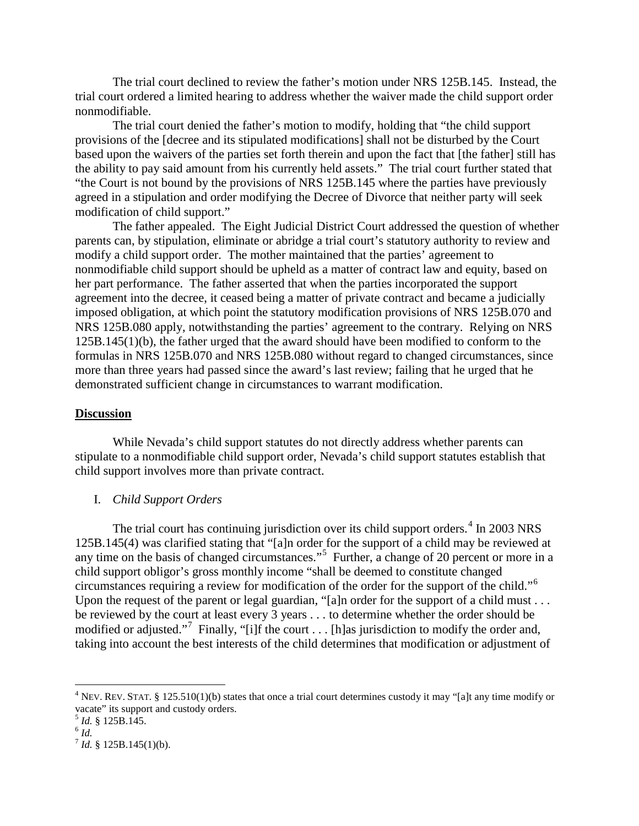The trial court declined to review the father's motion under NRS 125B.145. Instead, the trial court ordered a limited hearing to address whether the waiver made the child support order nonmodifiable.

The trial court denied the father's motion to modify, holding that "the child support provisions of the [decree and its stipulated modifications] shall not be disturbed by the Court based upon the waivers of the parties set forth therein and upon the fact that [the father] still has the ability to pay said amount from his currently held assets." The trial court further stated that "the Court is not bound by the provisions of NRS 125B.145 where the parties have previously agreed in a stipulation and order modifying the Decree of Divorce that neither party will seek modification of child support."

The father appealed. The Eight Judicial District Court addressed the question of whether parents can, by stipulation, eliminate or abridge a trial court's statutory authority to review and modify a child support order. The mother maintained that the parties' agreement to nonmodifiable child support should be upheld as a matter of contract law and equity, based on her part performance. The father asserted that when the parties incorporated the support agreement into the decree, it ceased being a matter of private contract and became a judicially imposed obligation, at which point the statutory modification provisions of NRS 125B.070 and NRS 125B.080 apply, notwithstanding the parties' agreement to the contrary. Relying on NRS 125B.145(1)(b), the father urged that the award should have been modified to conform to the formulas in NRS 125B.070 and NRS 125B.080 without regard to changed circumstances, since more than three years had passed since the award's last review; failing that he urged that he demonstrated sufficient change in circumstances to warrant modification.

#### **Discussion**

While Nevada's child support statutes do not directly address whether parents can stipulate to a nonmodifiable child support order, Nevada's child support statutes establish that child support involves more than private contract.

#### I. *Child Support Orders*

The trial court has continuing jurisdiction over its child support orders.<sup>[4](#page-2-0)</sup> In 2003 NRS 125B.145(4) was clarified stating that "[a]n order for the support of a child may be reviewed at any time on the basis of changed circumstances."<sup>[5](#page-2-1)</sup> Further, a change of 20 percent or more in a child support obligor's gross monthly income "shall be deemed to constitute changed circumstances requiring a review for modification of the order for the support of the child."[6](#page-2-2) Upon the request of the parent or legal guardian, "[a]n order for the support of a child must . . . be reviewed by the court at least every 3 years . . . to determine whether the order should be modified or adjusted."<sup>[7](#page-2-3)</sup> Finally, "[i]f the court . . . [h] as jurisdiction to modify the order and, taking into account the best interests of the child determines that modification or adjustment of

<span id="page-2-0"></span><sup>&</sup>lt;sup>4</sup> NEV. REV. STAT. § 125.510(1)(b) states that once a trial court determines custody it may "[a]t any time modify or vacate" its support and custody orders.

<span id="page-2-2"></span><span id="page-2-1"></span> $\frac{5}{6}$  *Id.* § 125B.145.

<span id="page-2-3"></span> $^7$  *Id.* § 125B.145(1)(b).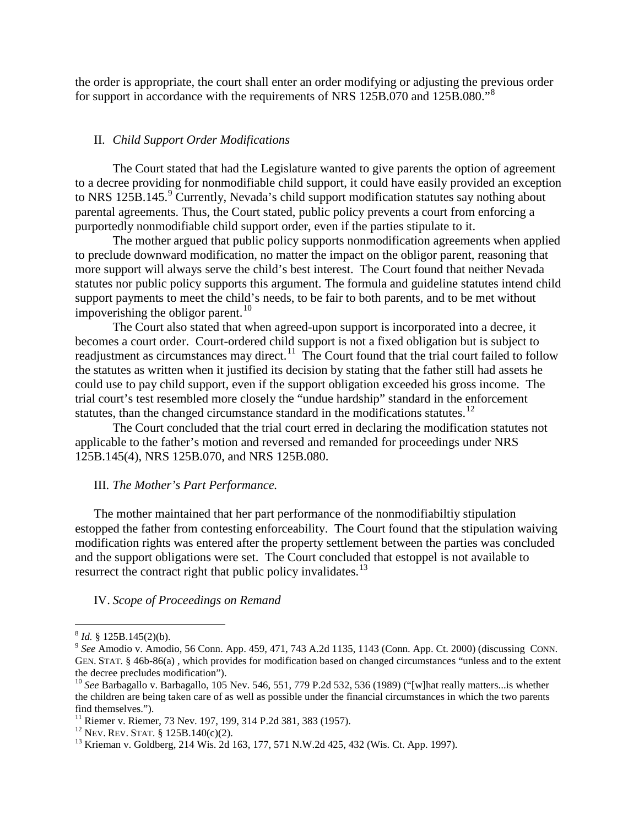the order is appropriate, the court shall enter an order modifying or adjusting the previous order for support in accordance with the requirements of NRS 125B.070 and 125B.080."[8](#page-3-0)

#### II. *Child Support Order Modifications*

The Court stated that had the Legislature wanted to give parents the option of agreement to a decree providing for nonmodifiable child support, it could have easily provided an exception to NRS 125B.145.<sup>[9](#page-3-1)</sup> Currently, Nevada's child support modification statutes say nothing about parental agreements. Thus, the Court stated, public policy prevents a court from enforcing a purportedly nonmodifiable child support order, even if the parties stipulate to it.

The mother argued that public policy supports nonmodification agreements when applied to preclude downward modification, no matter the impact on the obligor parent, reasoning that more support will always serve the child's best interest. The Court found that neither Nevada statutes nor public policy supports this argument. The formula and guideline statutes intend child support payments to meet the child's needs, to be fair to both parents, and to be met without impoverishing the obligor parent.<sup>[10](#page-3-2)</sup>

The Court also stated that when agreed-upon support is incorporated into a decree, it becomes a court order. Court-ordered child support is not a fixed obligation but is subject to readjustment as circumstances may direct.<sup>11</sup> The Court found that the trial court failed to follow the statutes as written when it justified its decision by stating that the father still had assets he could use to pay child support, even if the support obligation exceeded his gross income. The trial court's test resembled more closely the "undue hardship" standard in the enforcement statutes, than the changed circumstance standard in the modifications statutes.<sup>[12](#page-3-4)</sup>

The Court concluded that the trial court erred in declaring the modification statutes not applicable to the father's motion and reversed and remanded for proceedings under NRS 125B.145(4), NRS 125B.070, and NRS 125B.080.

#### III. *The Mother's Part Performance.*

The mother maintained that her part performance of the nonmodifiabiltiy stipulation estopped the father from contesting enforceability. The Court found that the stipulation waiving modification rights was entered after the property settlement between the parties was concluded and the support obligations were set. The Court concluded that estoppel is not available to resurrect the contract right that public policy invalidates. $^{13}$  $^{13}$  $^{13}$ 

#### IV. *Scope of Proceedings on Remand*

<span id="page-3-1"></span><span id="page-3-0"></span><sup>8</sup> *Id.* § 125B.145(2)(b). <sup>9</sup> *See* Amodio v. Amodio, 56 Conn. App. 459, 471, 743 A.2d 1135, 1143 (Conn. App. Ct. 2000) (discussing CONN. GEN. STAT. § 46b-86(a), which provides for modification based on changed circumstances "unless and to the extent the decree precludes modification").

<span id="page-3-2"></span><sup>&</sup>lt;sup>10</sup> See Barbagallo v. Barbagallo, 105 Nev. 546, 551, 779 P.2d 532, 536 (1989) ("[w]hat really matters...is whether the children are being taken care of as well as possible under the financial circumstances in which the two parents find themselves.").<br><sup>11</sup> Riemer v. Riemer, 73 Nev. 197, 199, 314 P.2d 381, 383 (1957).<br><sup>12</sup> NEV. REV. STAT. § 125B.140(c)(2).<br><sup>13</sup> Krieman v. Goldberg, 214 Wis. 2d 163, 177, 571 N.W.2d 425, 432 (Wis. Ct. App. 1997).

<span id="page-3-3"></span>

<span id="page-3-4"></span>

<span id="page-3-5"></span>